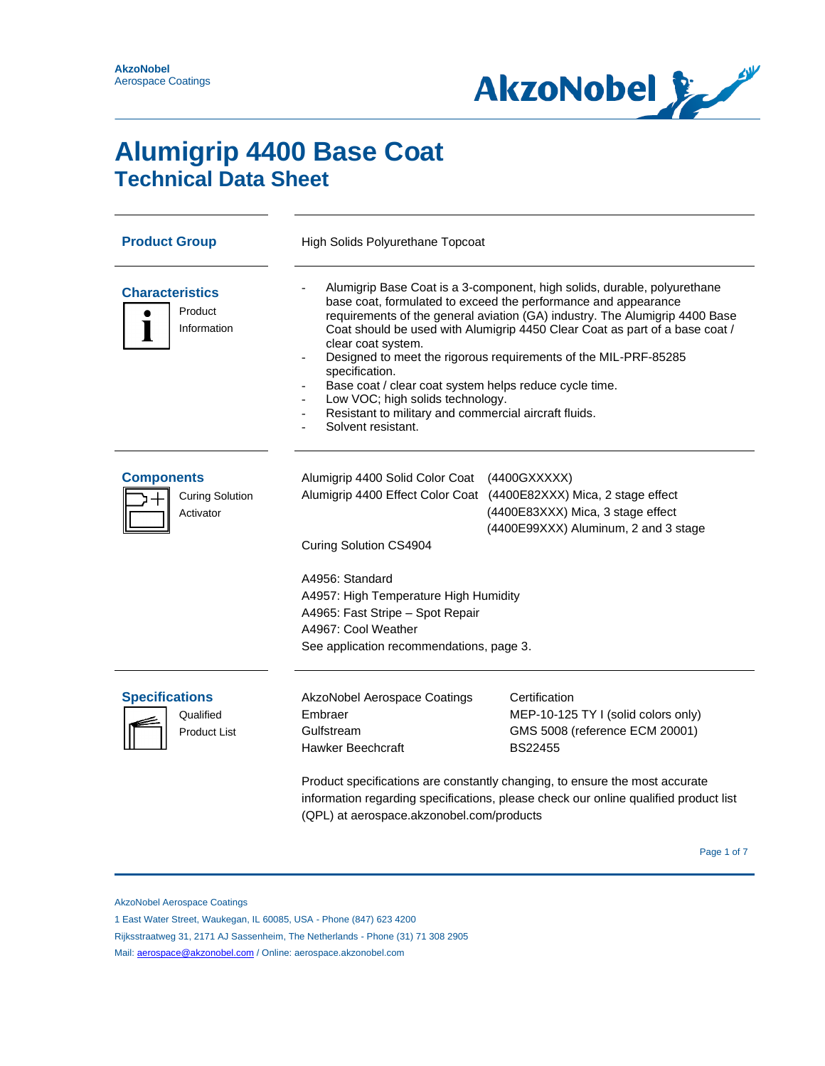

# **Alumigrip 4400 Base Coat Technical Data Sheet**

| <b>Product Group</b><br>High Solids Polyurethane Topcoat  |                                                                                                                                                                                                                                                                                                                                                                                                                                                                                                                                                                                                  |                                                                                                                                                                                                                                                                                 |  |  |
|-----------------------------------------------------------|--------------------------------------------------------------------------------------------------------------------------------------------------------------------------------------------------------------------------------------------------------------------------------------------------------------------------------------------------------------------------------------------------------------------------------------------------------------------------------------------------------------------------------------------------------------------------------------------------|---------------------------------------------------------------------------------------------------------------------------------------------------------------------------------------------------------------------------------------------------------------------------------|--|--|
| <b>Characteristics</b><br>Product<br>Information          | Alumigrip Base Coat is a 3-component, high solids, durable, polyurethane<br>base coat, formulated to exceed the performance and appearance<br>requirements of the general aviation (GA) industry. The Alumigrip 4400 Base<br>Coat should be used with Alumigrip 4450 Clear Coat as part of a base coat /<br>clear coat system.<br>Designed to meet the rigorous requirements of the MIL-PRF-85285<br>specification.<br>Base coat / clear coat system helps reduce cycle time.<br>Low VOC; high solids technology.<br>Resistant to military and commercial aircraft fluids.<br>Solvent resistant. |                                                                                                                                                                                                                                                                                 |  |  |
| <b>Components</b><br><b>Curing Solution</b><br>Activator  | Alumigrip 4400 Solid Color Coat (4400GXXXXX)<br>Curing Solution CS4904<br>A4956: Standard<br>A4957: High Temperature High Humidity<br>A4965: Fast Stripe - Spot Repair<br>A4967: Cool Weather<br>See application recommendations, page 3.                                                                                                                                                                                                                                                                                                                                                        | Alumigrip 4400 Effect Color Coat (4400E82XXX) Mica, 2 stage effect<br>(4400E83XXX) Mica, 3 stage effect<br>(4400E99XXX) Aluminum, 2 and 3 stage                                                                                                                                 |  |  |
| <b>Specifications</b><br>Qualified<br><b>Product List</b> | <b>AkzoNobel Aerospace Coatings</b><br>Embraer<br>Gulfstream<br><b>Hawker Beechcraft</b><br>(QPL) at aerospace.akzonobel.com/products                                                                                                                                                                                                                                                                                                                                                                                                                                                            | Certification<br>MEP-10-125 TY I (solid colors only)<br>GMS 5008 (reference ECM 20001)<br><b>BS22455</b><br>Product specifications are constantly changing, to ensure the most accurate<br>information regarding specifications, please check our online qualified product list |  |  |

1 East Water Street, Waukegan, IL 60085, USA - Phone (847) 623 4200

Rijksstraatweg 31, 2171 AJ Sassenheim, The Netherlands - Phone (31) 71 308 2905

Mail: [aerospace@akzonobel.com](mailto:aerospace@akzonobel.com) / Online: aerospace.akzonobel.com

AkzoNobel Aerospace Coatings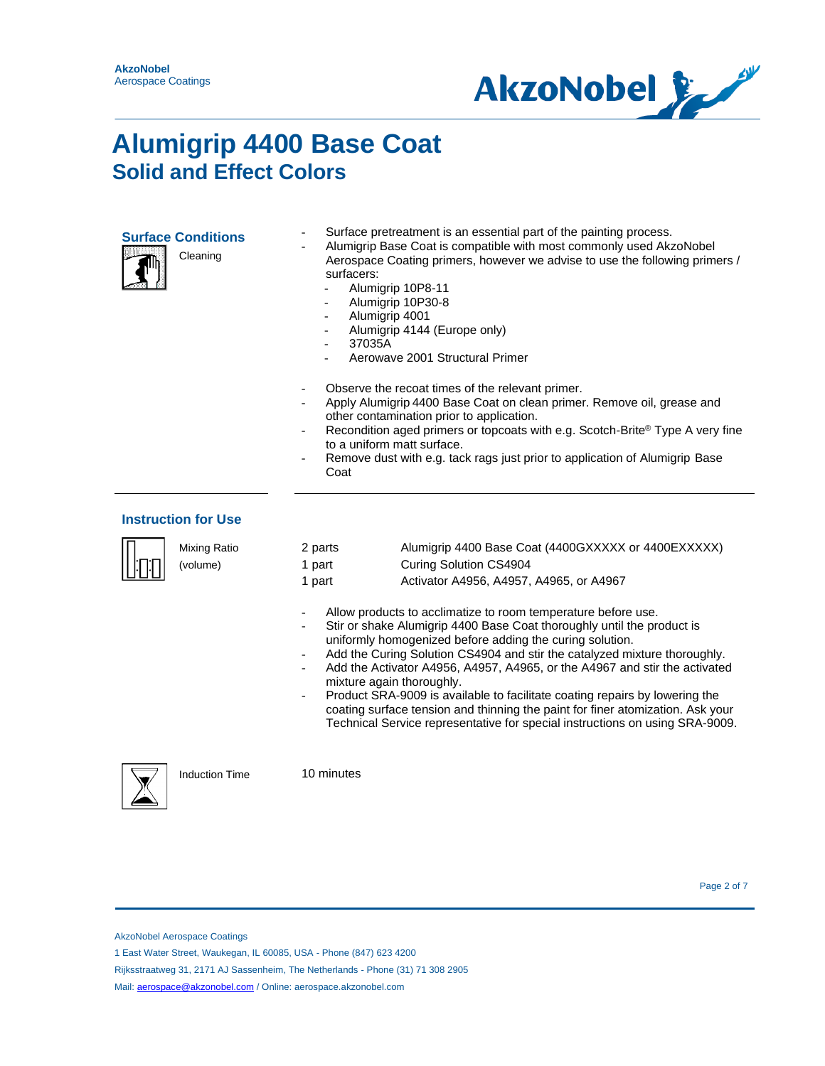

| <b>Surface Conditior</b> |
|--------------------------|
|                          |

Cleaning



**Surface pretreatment is an essential part of the painting process.** 

- Alumigrip Base Coat is compatible with most commonly used AkzoNobel Aerospace Coating primers, however we advise to use the following primers / surfacers:
	- Alumigrip 10P8-11
		- Alumigrip 10P30-8
	- Alumigrip 4001
	- Alumigrip 4144 (Europe only)
	- 37035A
	- Aerowave 2001 Structural Primer
- Observe the recoat times of the relevant primer.
- Apply Alumigrip 4400 Base Coat on clean primer. Remove oil, grease and other contamination prior to application.
- Recondition aged primers or topcoats with e.g. Scotch-Brite® Type A very fine to a uniform matt surface.
- Remove dust with e.g. tack rags just prior to application of Alumigrip Base Coat

#### **Instruction for Use**

| Mixing Ratio<br>(volume) | 2 parts<br>1 part<br>1 part                           | Alumigrip 4400 Base Coat (4400GXXXXX or 4400EXXXXX)<br>Curing Solution CS4904<br>Activator A4956, A4957, A4965, or A4967                                                                                                                                                                                                                                                                                                                                                                                                                                                                                        |  |  |
|--------------------------|-------------------------------------------------------|-----------------------------------------------------------------------------------------------------------------------------------------------------------------------------------------------------------------------------------------------------------------------------------------------------------------------------------------------------------------------------------------------------------------------------------------------------------------------------------------------------------------------------------------------------------------------------------------------------------------|--|--|
|                          | mixture again thoroughly.<br>$\overline{\phantom{0}}$ | Allow products to acclimatize to room temperature before use.<br>Stir or shake Alumigrip 4400 Base Coat thoroughly until the product is<br>uniformly homogenized before adding the curing solution.<br>Add the Curing Solution CS4904 and stir the catalyzed mixture thoroughly.<br>Add the Activator A4956, A4957, A4965, or the A4967 and stir the activated<br>Product SRA-9009 is available to facilitate coating repairs by lowering the<br>coating surface tension and thinning the paint for finer atomization. Ask your<br>Technical Service representative for special instructions on using SRA-9009. |  |  |
| <b>Induction Time</b>    | 10 minutes                                            |                                                                                                                                                                                                                                                                                                                                                                                                                                                                                                                                                                                                                 |  |  |



AkzoNobel Aerospace Coatings

1 East Water Street, Waukegan, IL 60085, USA - Phone (847) 623 4200

Rijksstraatweg 31, 2171 AJ Sassenheim, The Netherlands - Phone (31) 71 308 2905

Mail: **aerospace@akzonobel.com** / Online: aerospace.akzonobel.com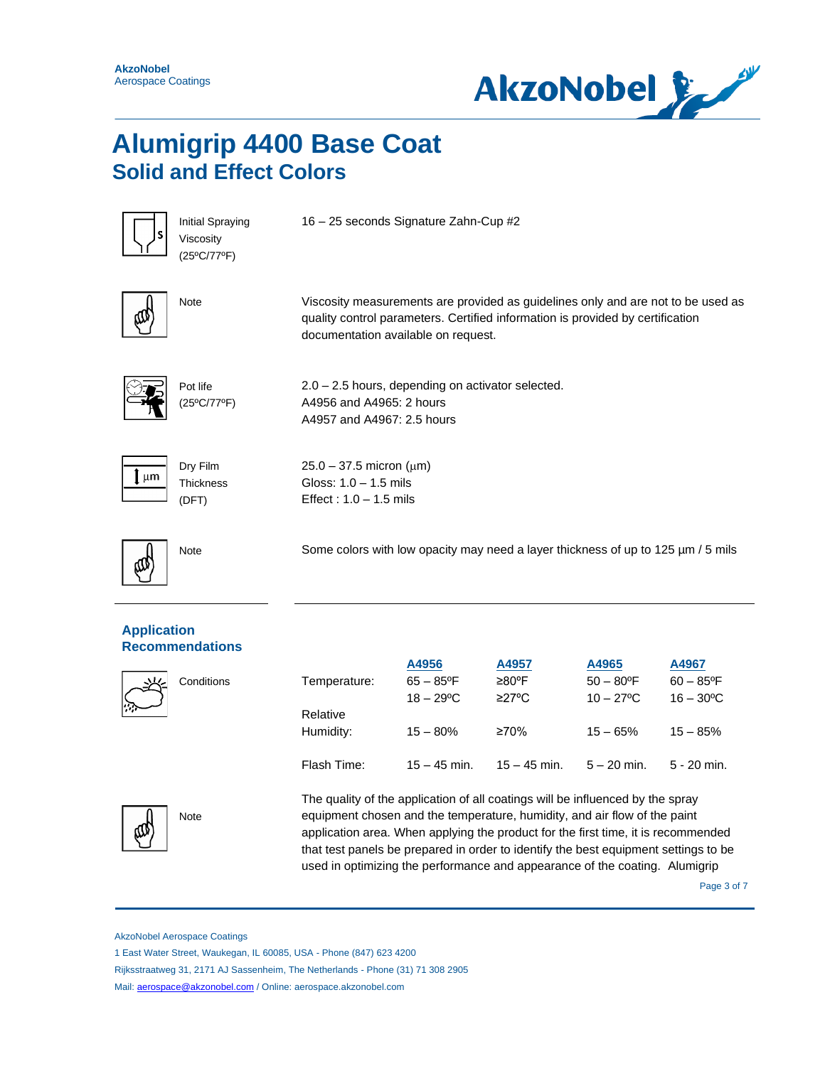



Initial Spraying Viscosity (25ºC/77ºF)

16 – 25 seconds Signature Zahn-Cup #2



Note Viscosity measurements are provided as guidelines only and are not to be used as quality control parameters. Certified information is provided by certification documentation available on request.



Pot life (25ºC/77ºF) 2.0 – 2.5 hours, depending on activator selected. A4956 and A4965: 2 hours A4957 and A4967: 2.5 hours

 $25.0 - 37.5$  micron ( $\mu$ m) Gloss: 1.0 – 1.5 mils Effect : 1.0 – 1.5 mils



Dry Film **Thickness** (DFT)

Note Some colors with low opacity may need a layer thickness of up to 125 µm / 5 mils

#### **Application Recommendations**

Conditions

|              | A4956                    | A4957          | A4965              | A4967                    |
|--------------|--------------------------|----------------|--------------------|--------------------------|
| Temperature: | $65 - 85$ <sup>o</sup> F | ≥80°F          | $50 - 80^{\circ}F$ | $60 - 85$ <sup>o</sup> F |
|              | $18 - 29^{\circ}$ C      | $\geq$ 27°C    | $10 - 27$ °C       | $16 - 30^{\circ}$ C      |
| Relative     |                          |                |                    |                          |
| Humidity:    | $15 - 80%$               | ≥70%           | $15 - 65%$         | $15 - 85%$               |
|              |                          |                |                    |                          |
| Flash Time:  | $15 - 45$ min.           | $15 - 45$ min. | $5 - 20$ min.      | $5 - 20$ min.            |



The quality of the application of all coatings will be influenced by the spray equipment chosen and the temperature, humidity, and air flow of the paint application area. When applying the product for the first time, it is recommended that test panels be prepared in order to identify the best equipment settings to be used in optimizing the performance and appearance of the coating. Alumigrip

Page 3 of 7

AkzoNobel Aerospace Coatings

1 East Water Street, Waukegan, IL 60085, USA - Phone (847) 623 4200

Rijksstraatweg 31, 2171 AJ Sassenheim, The Netherlands - Phone (31) 71 308 2905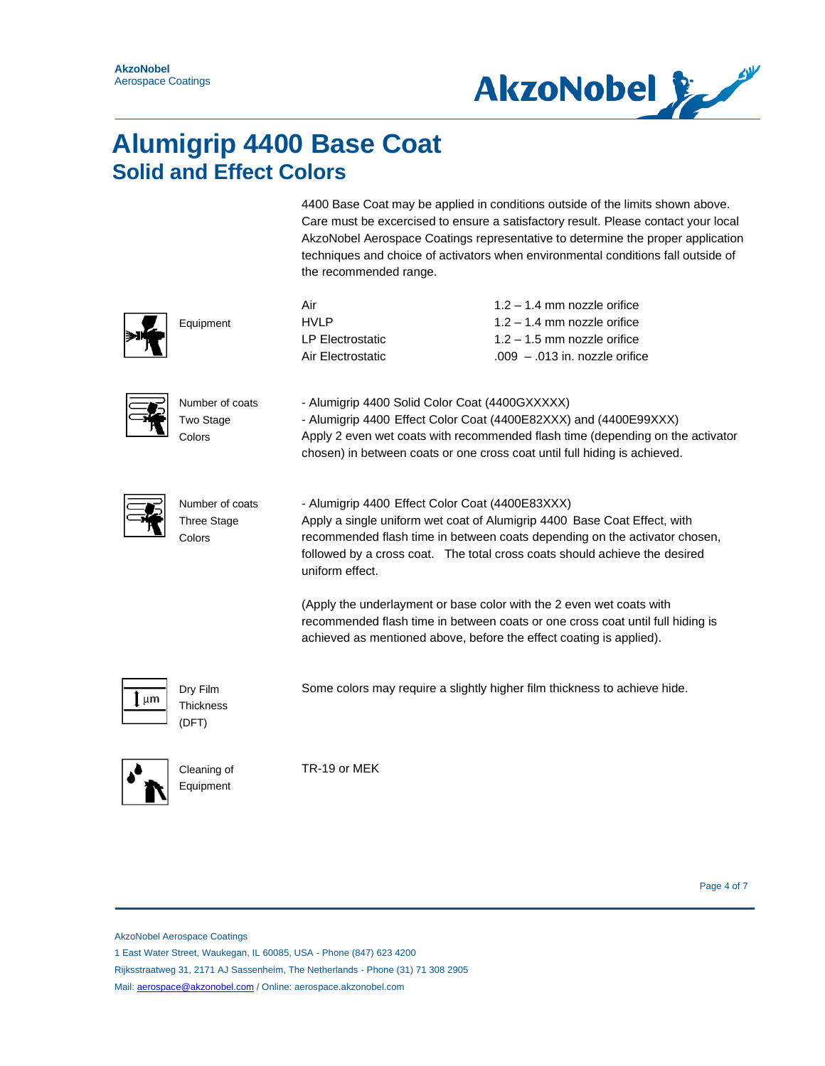

4400 Base Coat may be applied in conditions outside of the limits shown above. Care must be excercised to ensure a satisfactory result. Please contact your local AkzoNobel Aerospace Coatings representative to determine the proper application techniques and choice of activators when environmental conditions fall outside of the recommended range.

|         | Equipment                                       | Air<br><b>HVLP</b><br><b>LP Electrostatic</b><br>Air Electrostatic                                                                                                                                                                                                                                         | $1.2 - 1.4$ mm nozzle orifice<br>$1.2 - 1.4$ mm nozzle orifice<br>$1.2 - 1.5$ mm nozzle orifice<br>$.009 - .013$ in. nozzle orifice                                                                                             |  |  |
|---------|-------------------------------------------------|------------------------------------------------------------------------------------------------------------------------------------------------------------------------------------------------------------------------------------------------------------------------------------------------------------|---------------------------------------------------------------------------------------------------------------------------------------------------------------------------------------------------------------------------------|--|--|
|         | Number of coats<br>Two Stage<br>Colors          | - Alumigrip 4400 Solid Color Coat (4400GXXXXX)                                                                                                                                                                                                                                                             | - Alumigrip 4400 Effect Color Coat (4400E82XXX) and (4400E99XXX)<br>Apply 2 even wet coats with recommended flash time (depending on the activator<br>chosen) in between coats or one cross coat until full hiding is achieved. |  |  |
|         | Number of coats<br><b>Three Stage</b><br>Colors | - Alumigrip 4400 Effect Color Coat (4400E83XXX)<br>Apply a single uniform wet coat of Alumigrip 4400 Base Coat Effect, with<br>recommended flash time in between coats depending on the activator chosen,<br>followed by a cross coat. The total cross coats should achieve the desired<br>uniform effect. |                                                                                                                                                                                                                                 |  |  |
|         |                                                 | (Apply the underlayment or base color with the 2 even wet coats with<br>achieved as mentioned above, before the effect coating is applied).                                                                                                                                                                | recommended flash time in between coats or one cross coat until full hiding is                                                                                                                                                  |  |  |
| $\mu$ m | Dry Film<br><b>Thickness</b><br>(DFT)           |                                                                                                                                                                                                                                                                                                            | Some colors may require a slightly higher film thickness to achieve hide.                                                                                                                                                       |  |  |
|         | Cleaning of<br>Equipment                        | TR-19 or MEK                                                                                                                                                                                                                                                                                               |                                                                                                                                                                                                                                 |  |  |

Page 4 of 7

AkzoNobel Aerospace Coatings

1 East Water Street, Waukegan, IL 60085, USA - Phone (847) 623 4200

Rijksstraatweg 31, 2171 AJ Sassenheim, The Netherlands - Phone (31) 71 308 2905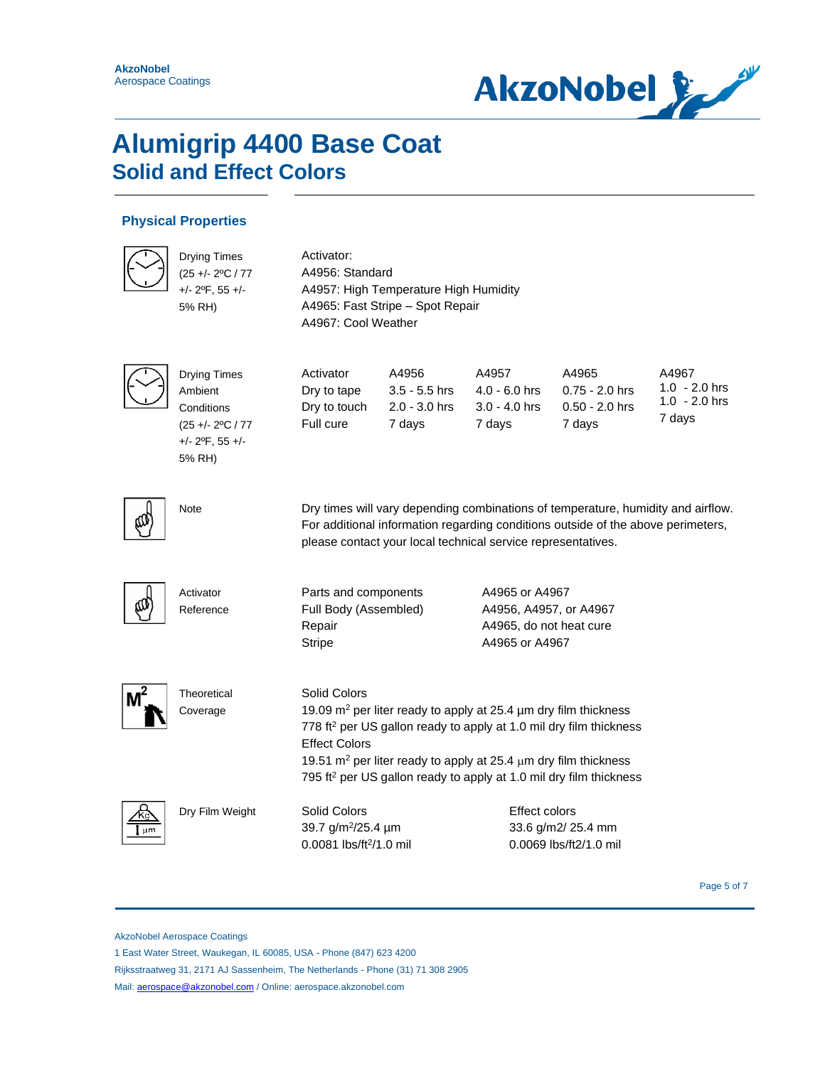

#### **Physical Properties**

|    | <b>Drying Times</b><br>(25 +/- 2°C / 77<br>$+/- 2$ <sup>o</sup> F, 55 $+/-$<br>5% RH)                             | Activator:<br>A4956: Standard<br>A4957: High Temperature High Humidity<br>A4965: Fast Stripe - Spot Repair<br>A4967: Cool Weather                                                                                                                                                                                                                                              |                                                       |                                                                                       |                                                         |                                                       |
|----|-------------------------------------------------------------------------------------------------------------------|--------------------------------------------------------------------------------------------------------------------------------------------------------------------------------------------------------------------------------------------------------------------------------------------------------------------------------------------------------------------------------|-------------------------------------------------------|---------------------------------------------------------------------------------------|---------------------------------------------------------|-------------------------------------------------------|
|    | <b>Drying Times</b><br>Ambient<br>Conditions<br>$(25 +/- 2°C / 77)$<br>$+/- 2$ <sup>o</sup> F, 55 $+/-$<br>5% RH) | Activator<br>Dry to tape<br>Dry to touch<br>Full cure                                                                                                                                                                                                                                                                                                                          | A4956<br>$3.5 - 5.5$ hrs<br>$2.0 - 3.0$ hrs<br>7 days | A4957<br>$4.0 - 6.0$ hrs<br>$3.0 - 4.0$ hrs<br>7 days                                 | A4965<br>$0.75 - 2.0$ hrs<br>$0.50 - 2.0$ hrs<br>7 days | A4967<br>$1.0 - 2.0$ hrs<br>$1.0 - 2.0$ hrs<br>7 days |
|    | <b>Note</b>                                                                                                       | Dry times will vary depending combinations of temperature, humidity and airflow.<br>For additional information regarding conditions outside of the above perimeters,<br>please contact your local technical service representatives.                                                                                                                                           |                                                       |                                                                                       |                                                         |                                                       |
|    | Activator<br>Reference                                                                                            | Parts and components<br>Full Body (Assembled)<br>Repair<br><b>Stripe</b>                                                                                                                                                                                                                                                                                                       |                                                       | A4965 or A4967<br>A4956, A4957, or A4967<br>A4965, do not heat cure<br>A4965 or A4967 |                                                         |                                                       |
|    | Theoretical<br>Coverage                                                                                           | <b>Solid Colors</b><br>19.09 $m^2$ per liter ready to apply at 25.4 $\mu$ m dry film thickness<br>778 ft <sup>2</sup> per US gallon ready to apply at 1.0 mil dry film thickness<br><b>Effect Colors</b><br>19.51 m <sup>2</sup> per liter ready to apply at 25.4 $\mu$ m dry film thickness<br>795 ft <sup>2</sup> per US gallon ready to apply at 1.0 mil dry film thickness |                                                       |                                                                                       |                                                         |                                                       |
| um | Dry Film Weight                                                                                                   | Solid Colors<br>39.7 g/m <sup>2</sup> /25.4 µm<br>$0.0081$ lbs/ft <sup>2</sup> /1.0 mil                                                                                                                                                                                                                                                                                        |                                                       | <b>Effect colors</b>                                                                  | 33.6 g/m2/ 25.4 mm<br>$0.0069$ lbs/ft $2/1.0$ mil       |                                                       |

Page 5 of 7

AkzoNobel Aerospace Coatings

1 East Water Street, Waukegan, IL 60085, USA - Phone (847) 623 4200

Rijksstraatweg 31, 2171 AJ Sassenheim, The Netherlands - Phone (31) 71 308 2905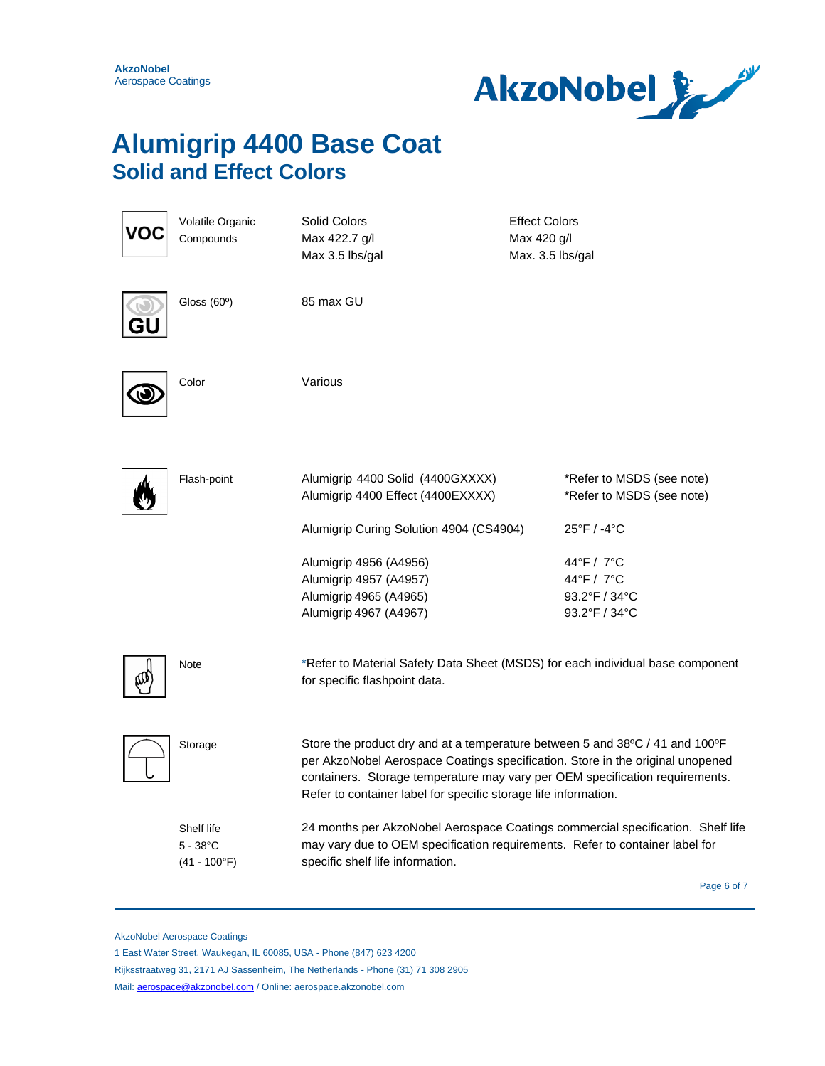

| Ό | Volatile Organic<br>Compounds                       | Solid Colors<br>Max 422.7 g/l<br>Max 3.5 lbs/gal                                                                                                                                                                                                                                                                  | <b>Effect Colors</b><br>Max 420 g/l<br>Max. 3.5 lbs/gal |                                                            |             |
|---|-----------------------------------------------------|-------------------------------------------------------------------------------------------------------------------------------------------------------------------------------------------------------------------------------------------------------------------------------------------------------------------|---------------------------------------------------------|------------------------------------------------------------|-------------|
|   | Gloss $(60°)$                                       | 85 max GU                                                                                                                                                                                                                                                                                                         |                                                         |                                                            |             |
|   | Color                                               | Various                                                                                                                                                                                                                                                                                                           |                                                         |                                                            |             |
|   | Flash-point                                         | Alumigrip 4400 Solid (4400GXXXX)<br>Alumigrip 4400 Effect (4400EXXXX)                                                                                                                                                                                                                                             |                                                         | *Refer to MSDS (see note)<br>*Refer to MSDS (see note)     |             |
|   |                                                     | Alumigrip Curing Solution 4904 (CS4904)                                                                                                                                                                                                                                                                           |                                                         | 25°F / -4°C                                                |             |
|   |                                                     | Alumigrip 4956 (A4956)<br>Alumigrip 4957 (A4957)<br>Alumigrip 4965 (A4965)<br>Alumigrip 4967 (A4967)                                                                                                                                                                                                              |                                                         | 44°F / 7°C<br>44°F / 7°C<br>93.2°F / 34°C<br>93.2°F / 34°C |             |
|   | Note                                                | *Refer to Material Safety Data Sheet (MSDS) for each individual base component<br>for specific flashpoint data.                                                                                                                                                                                                   |                                                         |                                                            |             |
|   | Storage                                             | Store the product dry and at a temperature between 5 and 38°C / 41 and 100°F<br>per AkzoNobel Aerospace Coatings specification. Store in the original unopened<br>containers. Storage temperature may vary per OEM specification requirements.<br>Refer to container label for specific storage life information. |                                                         |                                                            |             |
|   | Shelf life<br>$5 - 38^{\circ}$ C<br>$(41 - 100$ °F) | 24 months per AkzoNobel Aerospace Coatings commercial specification. Shelf life<br>may vary due to OEM specification requirements. Refer to container label for<br>specific shelf life information.                                                                                                               |                                                         |                                                            |             |
|   |                                                     |                                                                                                                                                                                                                                                                                                                   |                                                         |                                                            | Page 6 of 7 |

AkzoNobel Aerospace Coatings

1 East Water Street, Waukegan, IL 60085, USA - Phone (847) 623 4200

Rijksstraatweg 31, 2171 AJ Sassenheim, The Netherlands - Phone (31) 71 308 2905